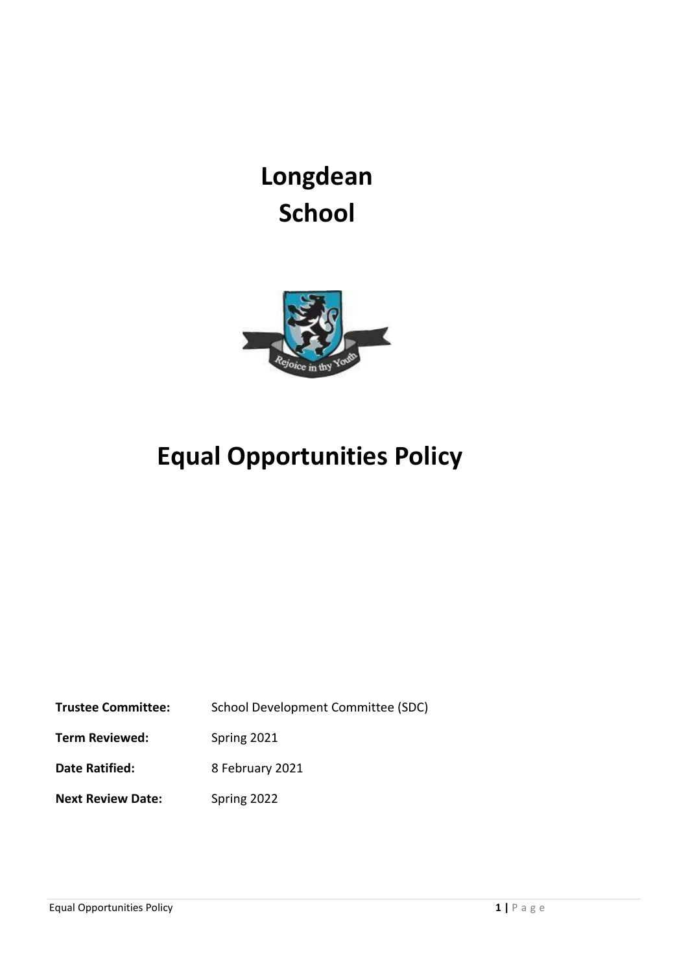# **Longdean School**



## **Equal Opportunities Policy**

**Trustee Committee:** School Development Committee (SDC)

**Term Reviewed:** Spring 2021

**Date Ratified:** 8 February 2021

**Next Review Date:** Spring 2022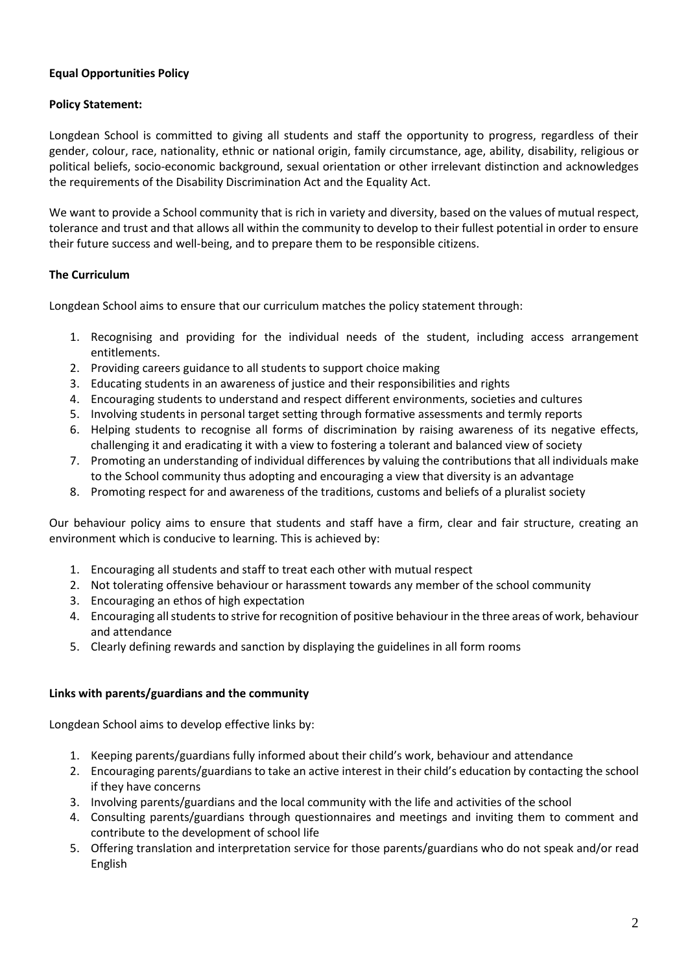#### **Equal Opportunities Policy**

#### **Policy Statement:**

Longdean School is committed to giving all students and staff the opportunity to progress, regardless of their gender, colour, race, nationality, ethnic or national origin, family circumstance, age, ability, disability, religious or political beliefs, socio-economic background, sexual orientation or other irrelevant distinction and acknowledges the requirements of the Disability Discrimination Act and the Equality Act.

We want to provide a School community that is rich in variety and diversity, based on the values of mutual respect, tolerance and trust and that allows all within the community to develop to their fullest potential in order to ensure their future success and well-being, and to prepare them to be responsible citizens.

#### **The Curriculum**

Longdean School aims to ensure that our curriculum matches the policy statement through:

- 1. Recognising and providing for the individual needs of the student, including access arrangement entitlements.
- 2. Providing careers guidance to all students to support choice making
- 3. Educating students in an awareness of justice and their responsibilities and rights
- 4. Encouraging students to understand and respect different environments, societies and cultures
- 5. Involving students in personal target setting through formative assessments and termly reports
- 6. Helping students to recognise all forms of discrimination by raising awareness of its negative effects, challenging it and eradicating it with a view to fostering a tolerant and balanced view of society
- 7. Promoting an understanding of individual differences by valuing the contributions that all individuals make to the School community thus adopting and encouraging a view that diversity is an advantage
- 8. Promoting respect for and awareness of the traditions, customs and beliefs of a pluralist society

Our behaviour policy aims to ensure that students and staff have a firm, clear and fair structure, creating an environment which is conducive to learning. This is achieved by:

- 1. Encouraging all students and staff to treat each other with mutual respect
- 2. Not tolerating offensive behaviour or harassment towards any member of the school community
- 3. Encouraging an ethos of high expectation
- 4. Encouraging all students to strive for recognition of positive behaviour in the three areas of work, behaviour and attendance
- 5. Clearly defining rewards and sanction by displaying the guidelines in all form rooms

#### **Links with parents/guardians and the community**

Longdean School aims to develop effective links by:

- 1. Keeping parents/guardians fully informed about their child's work, behaviour and attendance
- 2. Encouraging parents/guardians to take an active interest in their child's education by contacting the school if they have concerns
- 3. Involving parents/guardians and the local community with the life and activities of the school
- 4. Consulting parents/guardians through questionnaires and meetings and inviting them to comment and contribute to the development of school life
- 5. Offering translation and interpretation service for those parents/guardians who do not speak and/or read English